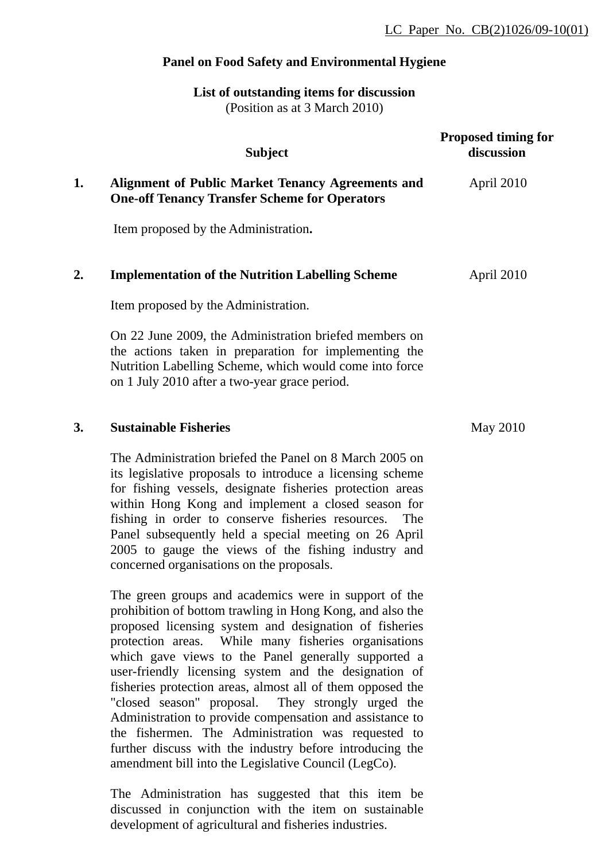# **Panel on Food Safety and Environmental Hygiene**

# **List of outstanding items for discussion** (Position as at 3 March 2010)

|    | <b>Subject</b>                                                                                                                                                                                                                                                                                                                                                                                                                                                                                                                                                                                                                                                                                                   | <b>Proposed timing for</b><br>discussion |
|----|------------------------------------------------------------------------------------------------------------------------------------------------------------------------------------------------------------------------------------------------------------------------------------------------------------------------------------------------------------------------------------------------------------------------------------------------------------------------------------------------------------------------------------------------------------------------------------------------------------------------------------------------------------------------------------------------------------------|------------------------------------------|
| 1. | <b>Alignment of Public Market Tenancy Agreements and</b><br><b>One-off Tenancy Transfer Scheme for Operators</b>                                                                                                                                                                                                                                                                                                                                                                                                                                                                                                                                                                                                 | April 2010                               |
|    | Item proposed by the Administration.                                                                                                                                                                                                                                                                                                                                                                                                                                                                                                                                                                                                                                                                             |                                          |
| 2. | <b>Implementation of the Nutrition Labelling Scheme</b>                                                                                                                                                                                                                                                                                                                                                                                                                                                                                                                                                                                                                                                          | April 2010                               |
|    | Item proposed by the Administration.                                                                                                                                                                                                                                                                                                                                                                                                                                                                                                                                                                                                                                                                             |                                          |
|    | On 22 June 2009, the Administration briefed members on<br>the actions taken in preparation for implementing the<br>Nutrition Labelling Scheme, which would come into force<br>on 1 July 2010 after a two-year grace period.                                                                                                                                                                                                                                                                                                                                                                                                                                                                                      |                                          |
| 3. | <b>Sustainable Fisheries</b>                                                                                                                                                                                                                                                                                                                                                                                                                                                                                                                                                                                                                                                                                     | May 2010                                 |
|    | The Administration briefed the Panel on 8 March 2005 on<br>its legislative proposals to introduce a licensing scheme<br>for fishing vessels, designate fisheries protection areas<br>within Hong Kong and implement a closed season for<br>fishing in order to conserve fisheries resources.<br>The<br>Panel subsequently held a special meeting on 26 April<br>2005 to gauge the views of the fishing industry and<br>concerned organisations on the proposals.                                                                                                                                                                                                                                                 |                                          |
|    | The green groups and academics were in support of the<br>prohibition of bottom trawling in Hong Kong, and also the<br>proposed licensing system and designation of fisheries<br>protection areas. While many fisheries organisations<br>which gave views to the Panel generally supported a<br>user-friendly licensing system and the designation of<br>fisheries protection areas, almost all of them opposed the<br>"closed season" proposal.<br>They strongly urged the<br>Administration to provide compensation and assistance to<br>the fishermen. The Administration was requested to<br>further discuss with the industry before introducing the<br>amendment bill into the Legislative Council (LegCo). |                                          |

 The Administration has suggested that this item be discussed in conjunction with the item on sustainable development of agricultural and fisheries industries.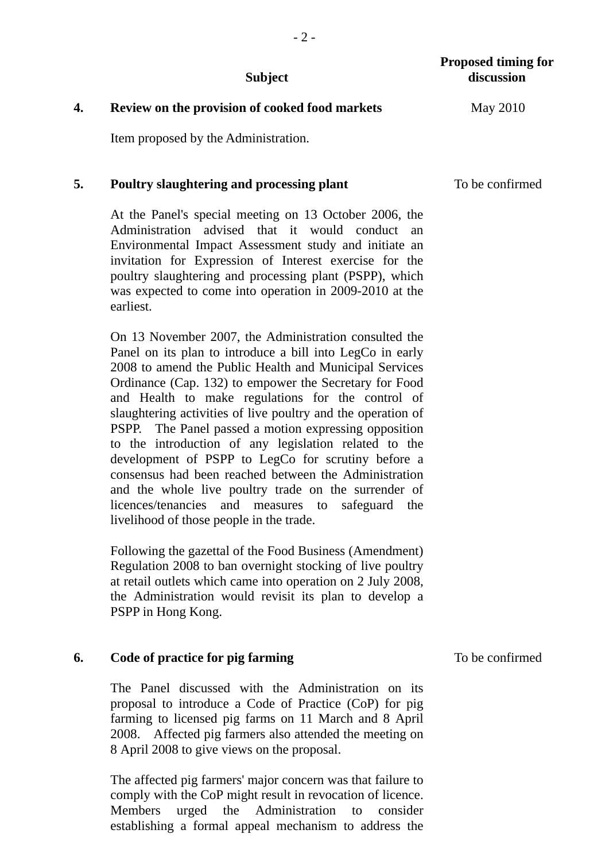| <b>Proposed timing for</b> |  |  |  |
|----------------------------|--|--|--|
| discussion                 |  |  |  |

# **4. Review on the provision of cooked food markets**

Item proposed by the Administration.

#### **5. Poultry slaughtering and processing plant**

At the Panel's special meeting on 13 October 2006, the Administration advised that it would conduct an Environmental Impact Assessment study and initiate an invitation for Expression of Interest exercise for the poultry slaughtering and processing plant (PSPP), which was expected to come into operation in 2009-2010 at the earliest.

On 13 November 2007, the Administration consulted the Panel on its plan to introduce a bill into LegCo in early 2008 to amend the Public Health and Municipal Services Ordinance (Cap. 132) to empower the Secretary for Food and Health to make regulations for the control of slaughtering activities of live poultry and the operation of PSPP. The Panel passed a motion expressing opposition to the introduction of any legislation related to the development of PSPP to LegCo for scrutiny before a consensus had been reached between the Administration and the whole live poultry trade on the surrender of licences/tenancies and measures to safeguard the livelihood of those people in the trade.

Following the gazettal of the Food Business (Amendment) Regulation 2008 to ban overnight stocking of live poultry at retail outlets which came into operation on 2 July 2008, the Administration would revisit its plan to develop a PSPP in Hong Kong.

### **6. Code of practice for pig farming**

The Panel discussed with the Administration on its proposal to introduce a Code of Practice (CoP) for pig farming to licensed pig farms on 11 March and 8 April 2008. Affected pig farmers also attended the meeting on 8 April 2008 to give views on the proposal.

The affected pig farmers' major concern was that failure to comply with the CoP might result in revocation of licence. Members urged the Administration to consider establishing a formal appeal mechanism to address the

To be confirmed

**Subject** 

- 2 -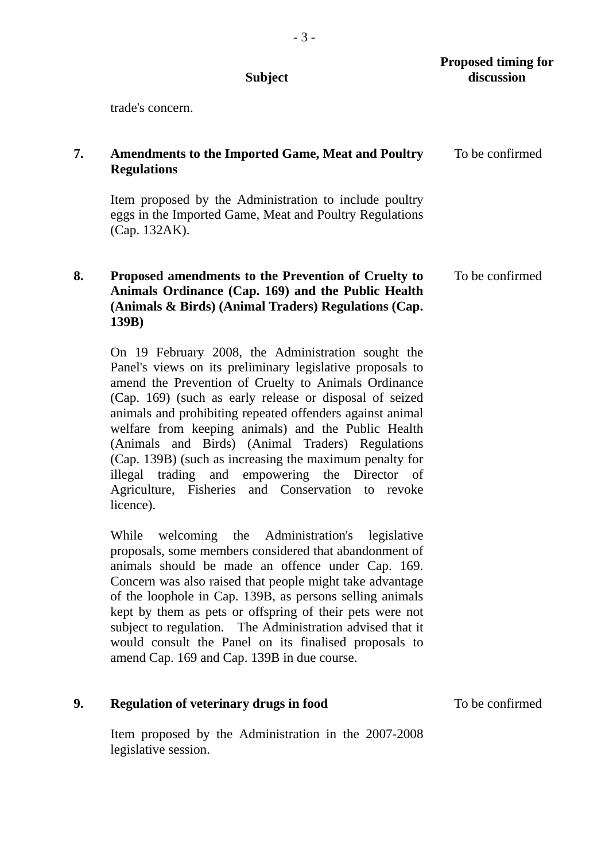|    | <b>Subject</b>                                                                                                                                                                                                                                                                                                                                                                                                                                                                                                                                                                            | <b>Proposed timing for</b><br>discussion |
|----|-------------------------------------------------------------------------------------------------------------------------------------------------------------------------------------------------------------------------------------------------------------------------------------------------------------------------------------------------------------------------------------------------------------------------------------------------------------------------------------------------------------------------------------------------------------------------------------------|------------------------------------------|
|    | trade's concern.                                                                                                                                                                                                                                                                                                                                                                                                                                                                                                                                                                          |                                          |
| 7. | <b>Amendments to the Imported Game, Meat and Poultry</b><br><b>Regulations</b>                                                                                                                                                                                                                                                                                                                                                                                                                                                                                                            | To be confirmed                          |
|    | Item proposed by the Administration to include poultry<br>eggs in the Imported Game, Meat and Poultry Regulations<br>(Cap. 132AK).                                                                                                                                                                                                                                                                                                                                                                                                                                                        |                                          |
| 8. | Proposed amendments to the Prevention of Cruelty to<br>Animals Ordinance (Cap. 169) and the Public Health<br>(Animals & Birds) (Animal Traders) Regulations (Cap.<br>139B)                                                                                                                                                                                                                                                                                                                                                                                                                | To be confirmed                          |
|    | On 19 February 2008, the Administration sought the<br>Panel's views on its preliminary legislative proposals to<br>amend the Prevention of Cruelty to Animals Ordinance<br>(Cap. 169) (such as early release or disposal of seized<br>animals and prohibiting repeated offenders against animal<br>welfare from keeping animals) and the Public Health<br>(Animals and Birds) (Animal Traders) Regulations<br>(Cap. 139B) (such as increasing the maximum penalty for<br>illegal trading and empowering the Director of<br>Agriculture, Fisheries and Conservation to revoke<br>licence). |                                          |
|    | welcoming<br>While<br>the Administration's<br>legislative<br>proposals, some members considered that abandonment of<br>animals should be made an offence under Cap. 169.<br>Concern was also raised that people might take advantage                                                                                                                                                                                                                                                                                                                                                      |                                          |

amend Cap. 169 and Cap. 139B in due course.

Item proposed by the Administration in the 2007-2008 legislative session.

of the loophole in Cap. 139B, as persons selling animals kept by them as pets or offspring of their pets were not subject to regulation. The Administration advised that it would consult the Panel on its finalised proposals to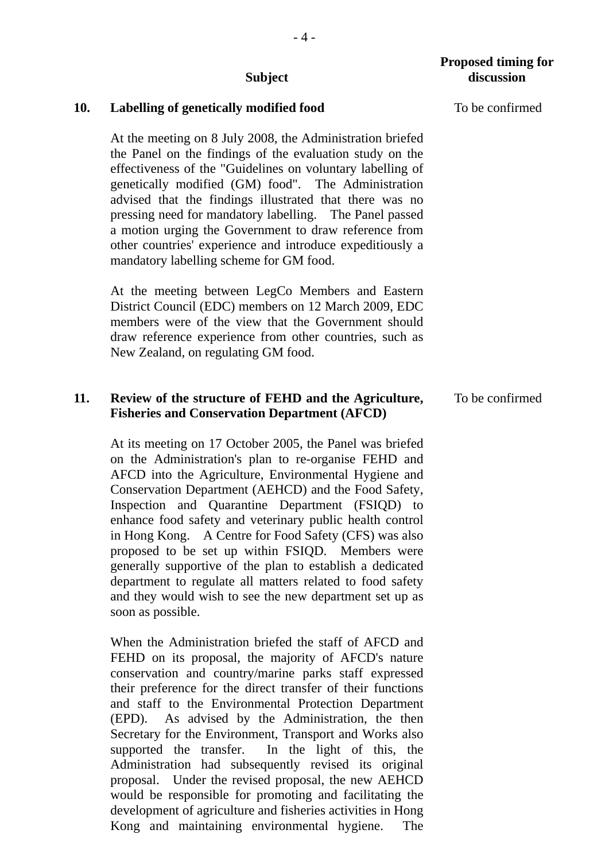# **10. Labelling of genetically modified food**

At the meeting on 8 July 2008, the Administration briefed the Panel on the findings of the evaluation study on the effectiveness of the "Guidelines on voluntary labelling of genetically modified (GM) food". The Administration advised that the findings illustrated that there was no pressing need for mandatory labelling. The Panel passed a motion urging the Government to draw reference from other countries' experience and introduce expeditiously a mandatory labelling scheme for GM food.

At the meeting between LegCo Members and Eastern District Council (EDC) members on 12 March 2009, EDC members were of the view that the Government should draw reference experience from other countries, such as New Zealand, on regulating GM food.

#### **11. Review of the structure of FEHD and the Agriculture, Fisheries and Conservation Department (AFCD)**  To be confirmed

At its meeting on 17 October 2005, the Panel was briefed on the Administration's plan to re-organise FEHD and AFCD into the Agriculture, Environmental Hygiene and Conservation Department (AEHCD) and the Food Safety, Inspection and Quarantine Department (FSIQD) to enhance food safety and veterinary public health control in Hong Kong. A Centre for Food Safety (CFS) was also proposed to be set up within FSIQD. Members were generally supportive of the plan to establish a dedicated department to regulate all matters related to food safety and they would wish to see the new department set up as soon as possible.

When the Administration briefed the staff of AFCD and FEHD on its proposal, the majority of AFCD's nature conservation and country/marine parks staff expressed their preference for the direct transfer of their functions and staff to the Environmental Protection Department (EPD). As advised by the Administration, the then Secretary for the Environment, Transport and Works also supported the transfer. In the light of this, the Administration had subsequently revised its original proposal. Under the revised proposal, the new AEHCD would be responsible for promoting and facilitating the development of agriculture and fisheries activities in Hong Kong and maintaining environmental hygiene. The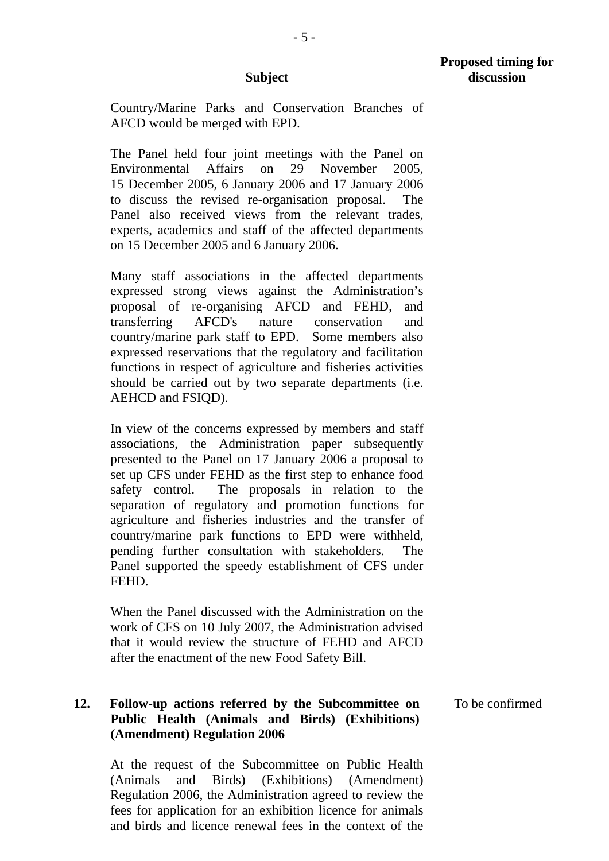Country/Marine Parks and Conservation Branches of AFCD would be merged with EPD.

The Panel held four joint meetings with the Panel on Environmental Affairs on 29 November 2005, 15 December 2005, 6 January 2006 and 17 January 2006 to discuss the revised re-organisation proposal. The Panel also received views from the relevant trades, experts, academics and staff of the affected departments on 15 December 2005 and 6 January 2006.

Many staff associations in the affected departments expressed strong views against the Administration's proposal of re-organising AFCD and FEHD, and transferring AFCD's nature conservation and country/marine park staff to EPD. Some members also expressed reservations that the regulatory and facilitation functions in respect of agriculture and fisheries activities should be carried out by two separate departments (i.e. AEHCD and FSIQD).

In view of the concerns expressed by members and staff associations, the Administration paper subsequently presented to the Panel on 17 January 2006 a proposal to set up CFS under FEHD as the first step to enhance food safety control. The proposals in relation to the separation of regulatory and promotion functions for agriculture and fisheries industries and the transfer of country/marine park functions to EPD were withheld, pending further consultation with stakeholders. The Panel supported the speedy establishment of CFS under **FEHD** 

When the Panel discussed with the Administration on the work of CFS on 10 July 2007, the Administration advised that it would review the structure of FEHD and AFCD after the enactment of the new Food Safety Bill.

#### **12. Follow-up actions referred by the Subcommittee on Public Health (Animals and Birds) (Exhibitions) (Amendment) Regulation 2006**  To be confirmed

At the request of the Subcommittee on Public Health (Animals and Birds) (Exhibitions) (Amendment) Regulation 2006, the Administration agreed to review the fees for application for an exhibition licence for animals and birds and licence renewal fees in the context of the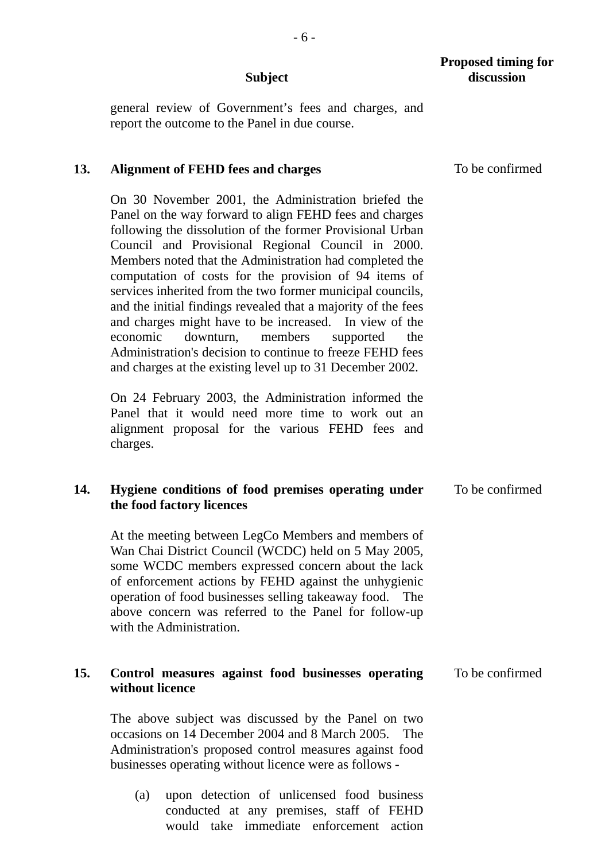- 6 -

general review of Government's fees and charges, and report the outcome to the Panel in due course.

### **13. Alignment of FEHD fees and charges**

On 30 November 2001, the Administration briefed the Panel on the way forward to align FEHD fees and charges following the dissolution of the former Provisional Urban Council and Provisional Regional Council in 2000. Members noted that the Administration had completed the computation of costs for the provision of 94 items of services inherited from the two former municipal councils, and the initial findings revealed that a majority of the fees and charges might have to be increased. In view of the economic downturn, members supported the Administration's decision to continue to freeze FEHD fees and charges at the existing level up to 31 December 2002.

On 24 February 2003, the Administration informed the Panel that it would need more time to work out an alignment proposal for the various FEHD fees and charges.

#### **14. Hygiene conditions of food premises operating under the food factory licences**  To be confirmed

At the meeting between LegCo Members and members of Wan Chai District Council (WCDC) held on 5 May 2005, some WCDC members expressed concern about the lack of enforcement actions by FEHD against the unhygienic operation of food businesses selling takeaway food. The above concern was referred to the Panel for follow-up with the Administration.

#### **15. Control measures against food businesses operating without licence**  To be confirmed

 The above subject was discussed by the Panel on two occasions on 14 December 2004 and 8 March 2005. The Administration's proposed control measures against food businesses operating without licence were as follows -

(a) upon detection of unlicensed food business conducted at any premises, staff of FEHD would take immediate enforcement action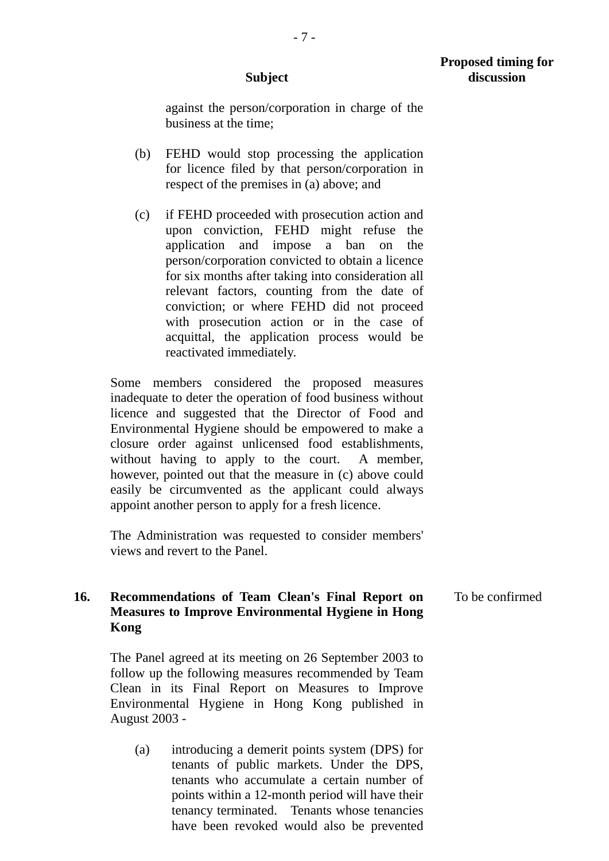against the person/corporation in charge of the business at the time;

- (b) FEHD would stop processing the application for licence filed by that person/corporation in respect of the premises in (a) above; and
- (c) if FEHD proceeded with prosecution action and upon conviction, FEHD might refuse the application and impose a ban on the person/corporation convicted to obtain a licence for six months after taking into consideration all relevant factors, counting from the date of conviction; or where FEHD did not proceed with prosecution action or in the case of acquittal, the application process would be reactivated immediately.

Some members considered the proposed measures inadequate to deter the operation of food business without licence and suggested that the Director of Food and Environmental Hygiene should be empowered to make a closure order against unlicensed food establishments, without having to apply to the court. A member, however, pointed out that the measure in (c) above could easily be circumvented as the applicant could always appoint another person to apply for a fresh licence.

 The Administration was requested to consider members' views and revert to the Panel.

# **16. Recommendations of Team Clean's Final Report on Measures to Improve Environmental Hygiene in Hong Kong**

 The Panel agreed at its meeting on 26 September 2003 to follow up the following measures recommended by Team Clean in its Final Report on Measures to Improve Environmental Hygiene in Hong Kong published in August 2003 -

(a) introducing a demerit points system (DPS) for tenants of public markets. Under the DPS, tenants who accumulate a certain number of points within a 12-month period will have their tenancy terminated. Tenants whose tenancies have been revoked would also be prevented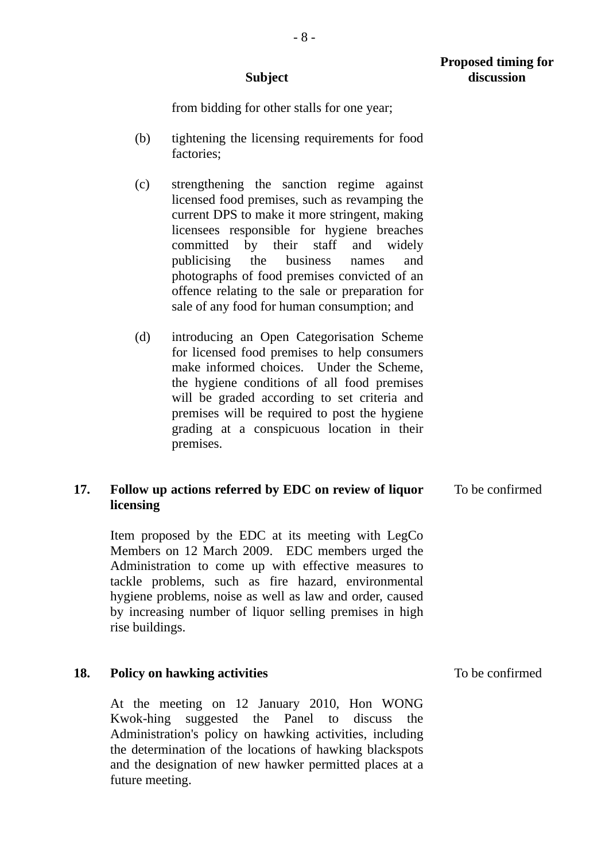from bidding for other stalls for one year;

- (b) tightening the licensing requirements for food factories;
- (c) strengthening the sanction regime against licensed food premises, such as revamping the current DPS to make it more stringent, making licensees responsible for hygiene breaches committed by their staff and widely publicising the business names and photographs of food premises convicted of an offence relating to the sale or preparation for sale of any food for human consumption; and
- (d) introducing an Open Categorisation Scheme for licensed food premises to help consumers make informed choices. Under the Scheme, the hygiene conditions of all food premises will be graded according to set criteria and premises will be required to post the hygiene grading at a conspicuous location in their premises.

#### **17. Follow up actions referred by EDC on review of liquor licensing**  To be confirmed

 Item proposed by the EDC at its meeting with LegCo Members on 12 March 2009. EDC members urged the Administration to come up with effective measures to tackle problems, such as fire hazard, environmental hygiene problems, noise as well as law and order, caused by increasing number of liquor selling premises in high rise buildings.

### **18. Policy on hawking activities**

At the meeting on 12 January 2010, Hon WONG Kwok-hing suggested the Panel to discuss the Administration's policy on hawking activities, including the determination of the locations of hawking blackspots and the designation of new hawker permitted places at a future meeting.

**Proposed timing for discussion**